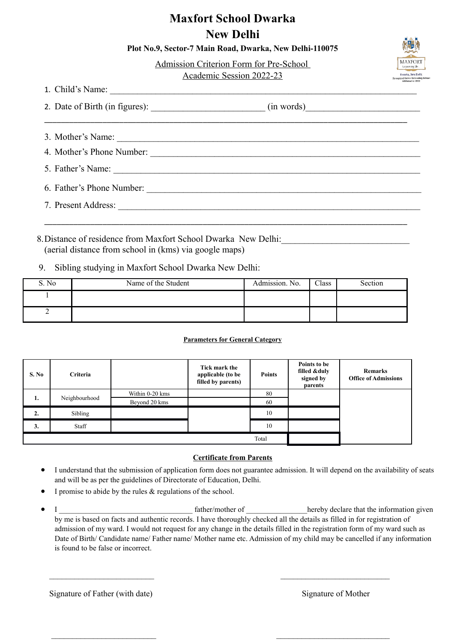# **Maxfort School Dwarka New Delhi**

**Plot No.9, Sector-7 Main Road, Dwarka, New Delhi-110075**

Admission Criterion Form for Pre-School Academic Session 2022-23



| 1. Child's Name: |
|------------------|
|------------------|

| 2. Date of Birth (in figures): | (in words) |  |
|--------------------------------|------------|--|
|                                |            |  |

3. Mother's Name:

4. Mother's Phone Number: \_\_\_\_\_\_\_\_\_\_\_\_\_\_\_\_\_\_\_\_\_\_\_\_\_\_\_\_\_\_\_\_\_\_\_\_\_\_\_\_\_\_\_\_\_\_\_\_\_\_\_\_\_\_\_\_\_\_\_

5. Father's Name:

\_\_\_\_\_\_\_\_\_\_\_\_\_\_\_\_\_\_\_\_\_\_\_\_\_\_\_\_\_\_\_\_\_\_\_\_\_\_\_\_\_\_\_\_\_\_\_\_\_\_\_\_\_\_\_\_\_\_\_\_\_\_\_\_\_\_\_\_\_\_\_\_\_\_\_\_\_\_\_\_\_\_\_\_\_\_\_

6. Father's Phone Number:

7. Present Address: \_\_\_\_\_\_\_\_\_\_\_\_\_\_\_\_\_\_\_\_\_\_\_\_\_\_\_\_\_\_\_\_\_\_\_\_\_\_\_\_\_\_\_\_\_\_\_\_\_\_\_\_\_\_\_\_\_\_\_\_\_\_\_\_\_\_

| 8. Distance of residence from Maxfort School Dwarka New Delhi: |  |
|----------------------------------------------------------------|--|
| (aerial distance from school in (kms) via google maps)         |  |

## 9. Sibling studying in Maxfort School Dwarka New Delhi:

| S. No | Name of the Student | Admission. No. | Class | Section |
|-------|---------------------|----------------|-------|---------|
|       |                     |                |       |         |
|       |                     |                |       |         |

#### **Parameters for General Category**

| S. No | <b>Criteria</b> |                                  | Tick mark the<br>applicable (to be<br>filled by parents) | <b>Points</b> | Points to be<br>filled &duly<br>signed by<br>parents | <b>Remarks</b><br><b>Office of Admissions</b> |
|-------|-----------------|----------------------------------|----------------------------------------------------------|---------------|------------------------------------------------------|-----------------------------------------------|
| 1.    | Neighbourhood   | Within 0-20 kms<br>Beyond 20 kms |                                                          | 80<br>60      |                                                      |                                               |
| 2.    | Sibling         |                                  |                                                          | 10            |                                                      |                                               |
| 3.    | Staff           |                                  |                                                          | 10            |                                                      |                                               |
|       | Total           |                                  |                                                          |               |                                                      |                                               |

### **Certificate from Parents**

- I understand that the submission of application form does not guarantee admission. It will depend on the availability of seats and will be as per the guidelines of Directorate of Education, Delhi.
- I promise to abide by the rules & regulations of the school.
- I \_\_\_\_\_\_\_\_\_\_\_\_\_\_\_\_\_\_\_\_\_\_\_\_\_\_\_\_\_\_\_\_\_\_\_ father/mother of \_\_\_\_\_\_\_\_\_\_\_\_\_\_\_\_hereby declare that the information given by me is based on facts and authentic records. I have thoroughly checked all the details as filled in for registration of admission of my ward. I would not request for any change in the details filled in the registration form of my ward such as Date of Birth/ Candidate name/ Father name/ Mother name etc. Admission of my child may be cancelled if any information is found to be false or incorrect.

 $\mathcal{L}_\text{max}$  and the contract of the contract of the contract of the contract of the contract of the contract of the contract of the contract of the contract of the contract of the contract of the contract of the contrac

 $\mathcal{L}_\text{max}$  and the contract of the contract of the contract of the contract of the contract of the contract of the contract of the contract of the contract of the contract of the contract of the contract of the contrac

Signature of Father (with date) Signature of Mother